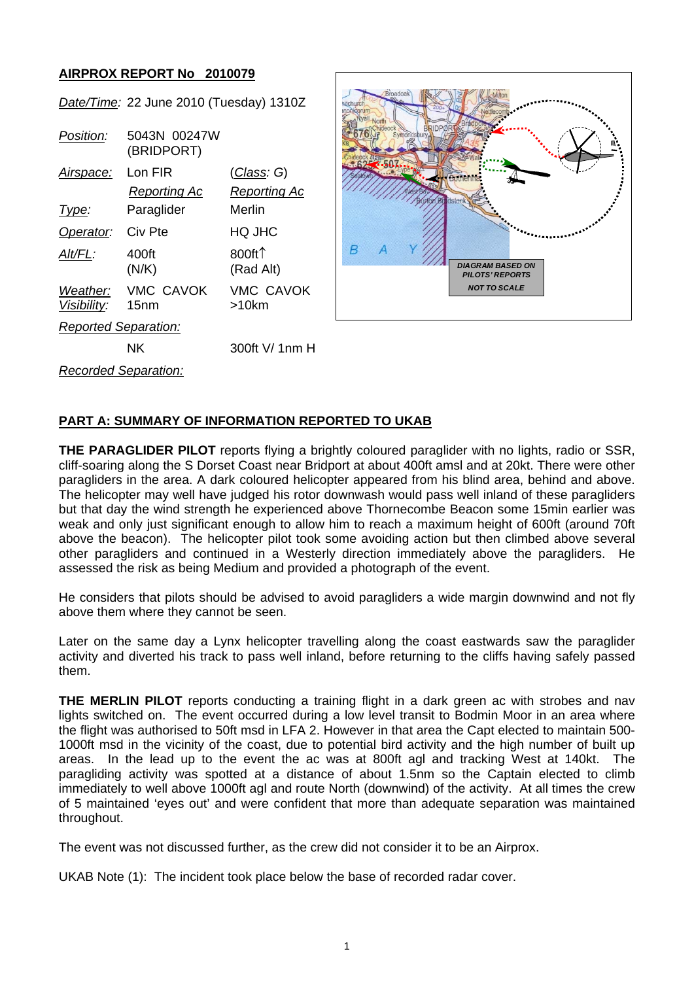## **AIRPROX REPORT No 2010079**

*Date/Time:* 22 June 2010 (Tuesday) 1310Z

| Position:                   | 5043N 00247W<br>(BRIDPORT) |                               |
|-----------------------------|----------------------------|-------------------------------|
| Airspace:                   | Lon FIR                    | <u>(Class</u> : G)            |
|                             | Reporting Ac               | Reporting Ac                  |
| Type:                       | Paraglider                 | Merlin                        |
| Operator:                   | Civ Pte                    | HQ JHC                        |
| Alt/FL:                     | 400ft<br>(N/K)             | 800ft $\uparrow$<br>(Rad Alt) |
| Weather:<br>Visibility:     | <b>VMC CAVOK</b><br>15nm   | <b>VMC CAVOK</b><br>>10km     |
| <b>Reported Separation:</b> |                            |                               |
|                             | ΝK                         | 300ft V/ 1nm H                |
| <b>Recorded Separation:</b> |                            |                               |



**PART A: SUMMARY OF INFORMATION REPORTED TO UKAB**

**THE PARAGLIDER PILOT** reports flying a brightly coloured paraglider with no lights, radio or SSR, cliff-soaring along the S Dorset Coast near Bridport at about 400ft amsl and at 20kt. There were other paragliders in the area. A dark coloured helicopter appeared from his blind area, behind and above. The helicopter may well have judged his rotor downwash would pass well inland of these paragliders but that day the wind strength he experienced above Thornecombe Beacon some 15min earlier was weak and only just significant enough to allow him to reach a maximum height of 600ft (around 70ft above the beacon). The helicopter pilot took some avoiding action but then climbed above several other paragliders and continued in a Westerly direction immediately above the paragliders. He assessed the risk as being Medium and provided a photograph of the event.

He considers that pilots should be advised to avoid paragliders a wide margin downwind and not fly above them where they cannot be seen.

Later on the same day a Lynx helicopter travelling along the coast eastwards saw the paraglider activity and diverted his track to pass well inland, before returning to the cliffs having safely passed them.

**THE MERLIN PILOT** reports conducting a training flight in a dark green ac with strobes and nav lights switched on. The event occurred during a low level transit to Bodmin Moor in an area where the flight was authorised to 50ft msd in LFA 2. However in that area the Capt elected to maintain 500- 1000ft msd in the vicinity of the coast, due to potential bird activity and the high number of built up areas. In the lead up to the event the ac was at 800ft agl and tracking West at 140kt. The paragliding activity was spotted at a distance of about 1.5nm so the Captain elected to climb immediately to well above 1000ft agl and route North (downwind) of the activity. At all times the crew of 5 maintained 'eyes out' and were confident that more than adequate separation was maintained throughout.

The event was not discussed further, as the crew did not consider it to be an Airprox.

UKAB Note (1): The incident took place below the base of recorded radar cover.